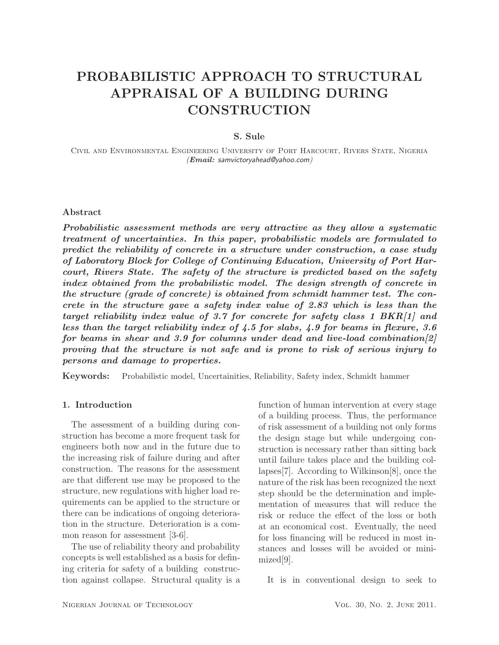# PROBABILISTIC APPROACH TO STRUCTURAL APPRAISAL OF A BUILDING DURING **CONSTRUCTION**

## S. Sule

Civil and Environmental Engineering University of Port Harcourt, Rivers State, Nigeria (*Email:* samvictoryahead@yahoo.com)

## Abstract

*Probabilistic assessment methods are very attractive as they allow a systematic treatment of uncertainties. In this paper, probabilistic models are formulated to predict the reliability of concrete in a structure under construction, a case study of Laboratory Block for College of Continuing Education, University of Port Harcourt, Rivers State. The safety of the structure is predicted based on the safety index obtained from the probabilistic model. The design strength of concrete in the structure (grade of concrete) is obtained from schmidt hammer test. The concrete in the structure gave a safety index value of 2.83 which is less than the target reliability index value of 3.7 for concrete for safety class 1 BKR[1] and less than the target reliability index of 4.5 for slabs, 4.9 for beams in flexure, 3.6 for beams in shear and 3.9 for columns under dead and live-load combination[2] proving that the structure is not safe and is prone to risk of serious injury to persons and damage to properties.*

Keywords: Probabilistic model, Uncertainities, Reliability, Safety index, Schmidt hammer

## 1. Introduction

The assessment of a building during construction has become a more frequent task for engineers both now and in the future due to the increasing risk of failure during and after construction. The reasons for the assessment are that different use may be proposed to the structure, new regulations with higher load requirements can be applied to the structure or there can be indications of ongoing deterioration in the structure. Deterioration is a common reason for assessment [3-6].

The use of reliability theory and probability concepts is well established as a basis for defining criteria for safety of a building construction against collapse. Structural quality is a

function of human intervention at every stage of a building process. Thus, the performance of risk assessment of a building not only forms the design stage but while undergoing construction is necessary rather than sitting back until failure takes place and the building collapses[7]. According to Wilkinson[8], once the nature of the risk has been recognized the next step should be the determination and implementation of measures that will reduce the risk or reduce the effect of the loss or both at an economical cost. Eventually, the need for loss financing will be reduced in most instances and losses will be avoided or minimized[9].

It is in conventional design to seek to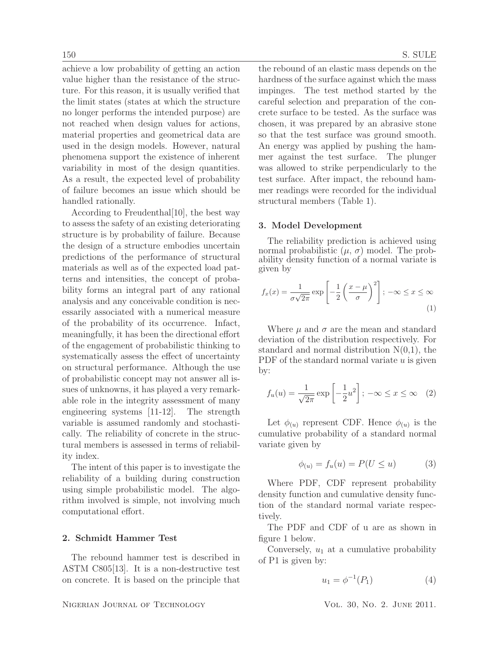achieve a low probability of getting an action value higher than the resistance of the structure. For this reason, it is usually verified that the limit states (states at which the structure no longer performs the intended purpose) are not reached when design values for actions, material properties and geometrical data are used in the design models. However, natural phenomena support the existence of inherent variability in most of the design quantities. As a result, the expected level of probability of failure becomes an issue which should be handled rationally.

According to Freudenthal[10], the best way to assess the safety of an existing deteriorating structure is by probability of failure. Because the design of a structure embodies uncertain predictions of the performance of structural materials as well as of the expected load patterns and intensities, the concept of probability forms an integral part of any rational analysis and any conceivable condition is necessarily associated with a numerical measure of the probability of its occurrence. Infact, meaningfully, it has been the directional effort of the engagement of probabilistic thinking to systematically assess the effect of uncertainty on structural performance. Although the use of probabilistic concept may not answer all issues of unknowns, it has played a very remarkable role in the integrity assessment of many engineering systems [11-12]. The strength variable is assumed randomly and stochastically. The reliability of concrete in the structural members is assessed in terms of reliability index.

The intent of this paper is to investigate the reliability of a building during construction using simple probabilistic model. The algorithm involved is simple, not involving much computational effort.

## 2. Schmidt Hammer Test

The rebound hammer test is described in ASTM C805[13]. It is a non-destructive test on concrete. It is based on the principle that

the rebound of an elastic mass depends on the hardness of the surface against which the mass impinges. The test method started by the careful selection and preparation of the concrete surface to be tested. As the surface was chosen, it was prepared by an abrasive stone so that the test surface was ground smooth. An energy was applied by pushing the hammer against the test surface. The plunger was allowed to strike perpendicularly to the test surface. After impact, the rebound hammer readings were recorded for the individual structural members (Table 1).

#### 3. Model Development

The reliability prediction is achieved using normal probabilistic  $(\mu, \sigma)$  model. The probability density function of a normal variate is given by

$$
f_x(x) = \frac{1}{\sigma\sqrt{2\pi}} \exp\left[-\frac{1}{2}\left(\frac{x-\mu}{\sigma}\right)^2\right]; -\infty \le x \le \infty
$$
\n(1)

Where  $\mu$  and  $\sigma$  are the mean and standard deviation of the distribution respectively. For standard and normal distribution  $N(0,1)$ , the PDF of the standard normal variate  $u$  is given by:

$$
f_u(u) = \frac{1}{\sqrt{2\pi}} \exp\left[-\frac{1}{2}u^2\right]; -\infty \le x \le \infty \quad (2)
$$

Let  $\phi_{(u)}$  represent CDF. Hence  $\phi_{(u)}$  is the cumulative probability of a standard normal variate given by

$$
\phi_{(u)} = f_u(u) = P(U \le u) \tag{3}
$$

Where PDF, CDF represent probability density function and cumulative density function of the standard normal variate respectively.

The PDF and CDF of u are as shown in figure 1 below.

Conversely,  $u_1$  at a cumulative probability of P1 is given by:

$$
u_1 = \phi^{-1}(P_1)
$$
 (4)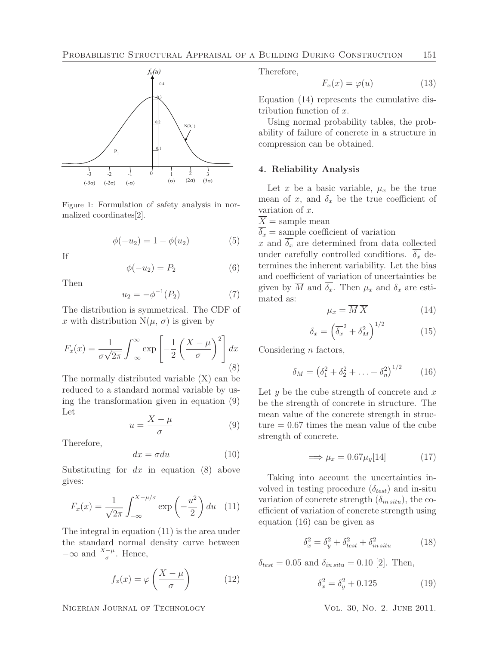

Figure 1: Formulation of safety analysis in normalized coordinates[2].

$$
\phi(-u_2) = 1 - \phi(u_2)
$$
 (5)

If

$$
\phi(-u_2) = P_2 \tag{6}
$$

Then

$$
u_2 = -\phi^{-1}(P_2)
$$
 (7)

The distribution is symmetrical. The CDF of x with distribution  $N(\mu, \sigma)$  is given by

$$
F_x(x) = \frac{1}{\sigma\sqrt{2\pi}} \int_{-\infty}^{\infty} \exp\left[-\frac{1}{2}\left(\frac{X-\mu}{\sigma}\right)^2\right] dx
$$
\n(8)

The normally distributed variable (X) can be reduced to a standard normal variable by using the transformation given in equation (9) Let

$$
u = \frac{X - \mu}{\sigma} \tag{9}
$$

Therefore,

$$
dx = \sigma du \tag{10}
$$

Substituting for  $dx$  in equation (8) above gives:

$$
F_x(x) = \frac{1}{\sqrt{2\pi}} \int_{-\infty}^{X-\mu/\sigma} \exp\left(-\frac{u^2}{2}\right) du \quad (11)
$$

The integral in equation (11) is the area under the standard normal density curve between  $-\infty$  and  $\frac{X-\mu}{\sigma}$ . Hence,

$$
f_x(x) = \varphi\left(\frac{X-\mu}{\sigma}\right) \tag{12}
$$

NIGERIAN JOURNAL OF TECHNOLOGY VOL. 30, NO. 2. JUNE 2011.

Therefore,

$$
F_x(x) = \varphi(u) \tag{13}
$$

Equation (14) represents the cumulative distribution function of  $x$ .

Using normal probability tables, the probability of failure of concrete in a structure in compression can be obtained.

### 4. Reliability Analysis

Let x be a basic variable,  $\mu_x$  be the true mean of x, and  $\delta_x$  be the true coefficient of variation of x.

 $\overline{X}$  = sample mean

 $\overline{\delta_x}$  = sample coefficient of variation

x and  $\overline{\delta_x}$  are determined from data collected under carefully controlled conditions.  $\delta_x$  determines the inherent variability. Let the bias and coefficient of variation of uncertainties be given by  $\overline{M}$  and  $\overline{\delta_x}$ . Then  $\mu_x$  and  $\delta_x$  are estimated as:

$$
\mu_x = \overline{M} \, \overline{X} \tag{14}
$$

$$
\delta_x = \left(\overline{\delta_x}^2 + \delta_M^2\right)^{1/2} \tag{15}
$$

Considering  $n$  factors,

$$
\delta_M = (\delta_1^2 + \delta_2^2 + \ldots + \delta_n^2)^{1/2}
$$
 (16)

Let  $y$  be the cube strength of concrete and  $x$ be the strength of concrete in structure. The mean value of the concrete strength in structure = 0.67 times the mean value of the cube strength of concrete.

$$
\implies \mu_x = 0.67 \mu_y[14] \tag{17}
$$

Taking into account the uncertainties involved in testing procedure  $(\delta_{test})$  and in-situ variation of concrete strength  $(\delta_{in\, situ})$ , the coefficient of variation of concrete strength using equation (16) can be given as

$$
\delta_x^2 = \delta_y^2 + \delta_{test}^2 + \delta_{in\, situ}^2 \tag{18}
$$

 $\delta_{test} = 0.05$  and  $\delta_{in\, situ} = 0.10$  [2]. Then,

$$
\delta_x^2 = \delta_y^2 + 0.125\tag{19}
$$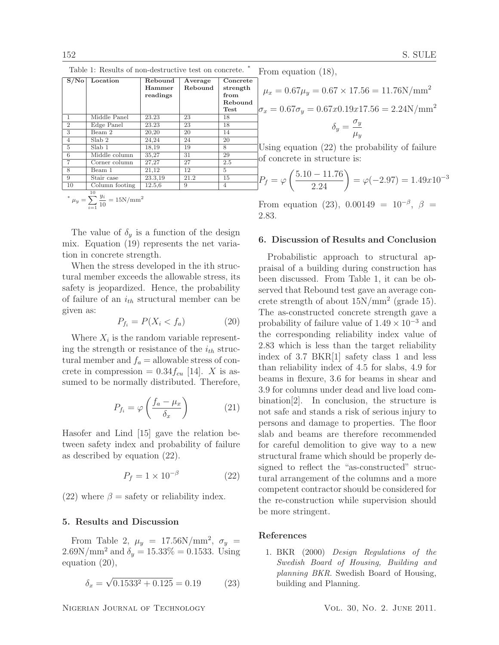| S/No           | Location                                                  | Rebound<br>Hammer<br>readings | Average<br>Rebound | Concrete<br>strength<br>from<br>Rebound<br><b>Test</b> |  |
|----------------|-----------------------------------------------------------|-------------------------------|--------------------|--------------------------------------------------------|--|
| 1              | Middle Panel                                              | 23.23                         | 23                 | 18                                                     |  |
| $\overline{2}$ | Edge Panel                                                | 23.23                         | 23                 | 18                                                     |  |
| 3              | Beam 2                                                    | 20,20                         | 20                 | 14                                                     |  |
| $\overline{4}$ | Slab <sub>2</sub>                                         | 24,24                         | 24                 | 20                                                     |  |
| 5              | Slab 1                                                    | 18,19                         | 19                 | 8                                                      |  |
| 6              | Middle column                                             | 35,27                         | 31                 | 29                                                     |  |
| 7              | Corner column                                             | 27,27                         | 27                 | 2.5                                                    |  |
| 8              | Beam 1                                                    | 21,12                         | 12                 | 5                                                      |  |
| 9              | Stair case                                                | 23.3,19                       | 21.2               | 15                                                     |  |
| 10             | Column footing                                            | 12.5,6                        | 9                  | $\overline{4}$                                         |  |
|                | 10<br>* $\mu_y = \sum_{10}^{8} \frac{y_i}{10} = 15N/mm^2$ |                               |                    |                                                        |  |

Table 1: Results of non-destructive test on concrete.

$$
\mu_y = \sum_{i=1}^{n} \frac{1}{10} = 1 \text{ or } \text{num}
$$

The value of  $\delta_u$  is a function of the design mix. Equation (19) represents the net variation in concrete strength.

When the stress developed in the ith structural member exceeds the allowable stress, its safety is jeopardized. Hence, the probability of failure of an  $i_{th}$  structural member can be given as:

$$
P_{f_i} = P(X_i < f_a) \tag{20}
$$

Where  $X_i$  is the random variable representing the strength or resistance of the  $i_{th}$  structural member and  $f_a =$  allowable stress of concrete in compression =  $0.34 f_{cu}$  [14]. X is assumed to be normally distributed. Therefore,

$$
P_{f_i} = \varphi \left( \frac{f_a - \mu_x}{\delta_x} \right) \tag{21}
$$

Hasofer and Lind [15] gave the relation between safety index and probability of failure as described by equation (22).

$$
P_f = 1 \times 10^{-\beta} \tag{22}
$$

(22) where  $\beta$  = safety or reliability index.

## 5. Results and Discussion

From Table 2,  $\mu_y = 17.56 \text{N/mm}^2$ ,  $\sigma_y =$  $2.69N/mm^2$  and  $\delta_y = 15.33\% = 0.1533$ . Using equation (20),

$$
\delta_x = \sqrt{0.1533^2 + 0.125} = 0.19\tag{23}
$$

From equation (18),

$$
\mu_x = 0.67\mu_y = 0.67 \times 17.56 = 11.76 \text{N/mm}^2
$$

$$
\sigma_x = 0.67\sigma_y = 0.67x0.19x17.56 = 2.24 \text{N/mm}^2
$$

$$
\delta_y = \frac{\sigma_y}{\mu_y}
$$

Using equation (22) the probability of failure of concrete in structure is:

$$
P_f = \varphi \left( \frac{5.10 - 11.76}{2.24} \right) = \varphi(-2.97) = 1.49x10^{-3}
$$

From equation (23), 0.00149 =  $10^{-\beta}$ ,  $\beta$  = 2.83.

#### 6. Discussion of Results and Conclusion

Probabilistic approach to structural appraisal of a building during construction has been discussed. From Table 1, it can be observed that Rebound test gave an average concrete strength of about  $15N/mm^2$  (grade 15). The as-constructed concrete strength gave a probability of failure value of  $1.49 \times 10^{-3}$  and the corresponding reliability index value of 2.83 which is less than the target reliability index of 3.7 BKR[1] safety class 1 and less than reliability index of 4.5 for slabs, 4.9 for beams in flexure, 3.6 for beams in shear and 3.9 for columns under dead and live load combination[2]. In conclusion, the structure is not safe and stands a risk of serious injury to persons and damage to properties. The floor slab and beams are therefore recommended for careful demolition to give way to a new structural frame which should be properly designed to reflect the "as-constructed" structural arrangement of the columns and a more competent contractor should be considered for the re-construction while supervision should be more stringent.

#### References

1. BKR (2000) Design Regulations of the Swedish Board of Housing, Building and planning BKR. Swedish Board of Housing, building and Planning.